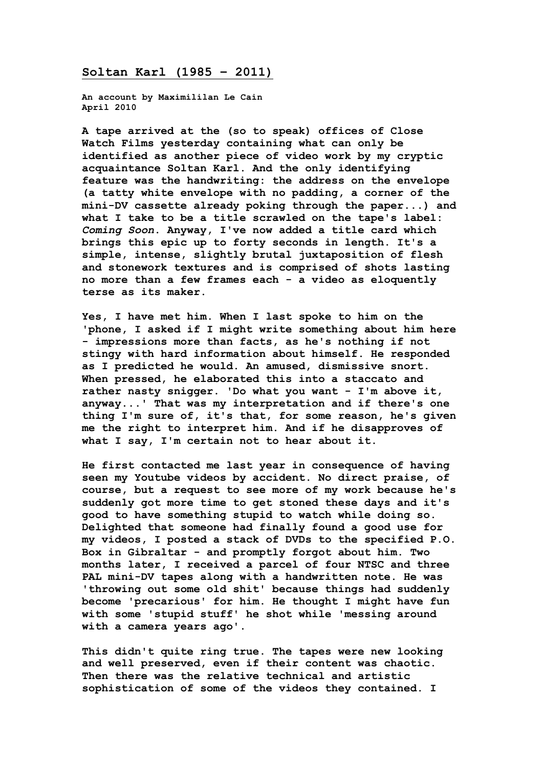## **Soltan Karl (1985 – 2011)**

**An account by Maximililan Le Cain April 2010**

**A tape arrived at the (so to speak) offices of Close Watch Films yesterday containing what can only be identified as another piece of video work by my cryptic acquaintance Soltan Karl. And the only identifying feature was the handwriting: the address on the envelope (a tatty white envelope with no padding, a corner of the mini-DV cassette already poking through the paper...) and what I take to be a title scrawled on the tape's label:**  *Coming Soon***. Anyway, I've now added a title card which brings this epic up to forty seconds in length. It's a simple, intense, slightly brutal juxtaposition of flesh and stonework textures and is comprised of shots lasting no more than a few frames each - a video as eloquently terse as its maker.**

**Yes, I have met him. When I last spoke to him on the 'phone, I asked if I might write something about him here - impressions more than facts, as he's nothing if not stingy with hard information about himself. He responded as I predicted he would. An amused, dismissive snort. When pressed, he elaborated this into a staccato and rather nasty snigger. 'Do what you want - I'm above it, anyway...' That was my interpretation and if there's one thing I'm sure of, it's that, for some reason, he's given me the right to interpret him. And if he disapproves of what I say, I'm certain not to hear about it.**

**He first contacted me last year in consequence of having seen my Youtube videos by accident. No direct praise, of course, but a request to see more of my work because he's suddenly got more time to get stoned these days and it's good to have something stupid to watch while doing so. Delighted that someone had finally found a good use for my videos, I posted a stack of DVDs to the specified P.O. Box in Gibraltar - and promptly forgot about him. Two months later, I received a parcel of four NTSC and three PAL mini-DV tapes along with a handwritten note. He was 'throwing out some old shit' because things had suddenly become 'precarious' for him. He thought I might have fun with some 'stupid stuff' he shot while 'messing around with a camera years ago'.**

**This didn't quite ring true. The tapes were new looking and well preserved, even if their content was chaotic. Then there was the relative technical and artistic sophistication of some of the videos they contained. I**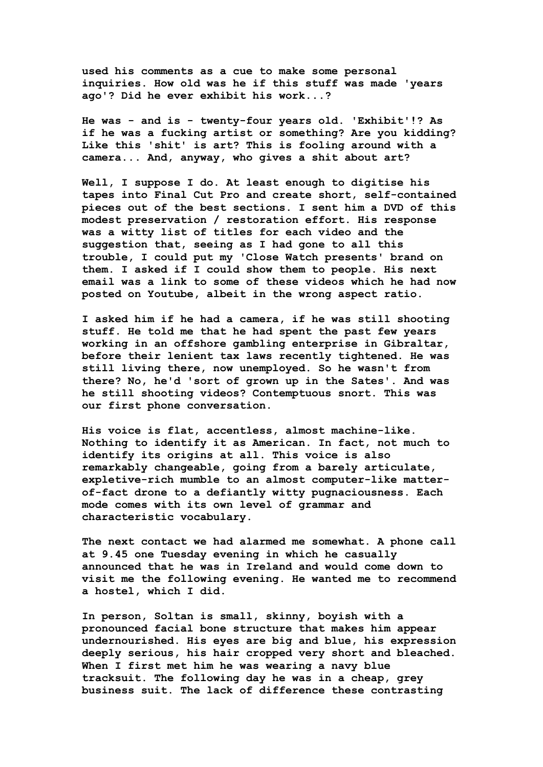**used his comments as a cue to make some personal inquiries. How old was he if this stuff was made 'years ago'? Did he ever exhibit his work...?**

**He was - and is - twenty-four years old. 'Exhibit'!? As if he was a fucking artist or something? Are you kidding? Like this 'shit' is art? This is fooling around with a camera... And, anyway, who gives a shit about art?**

**Well, I suppose I do. At least enough to digitise his tapes into Final Cut Pro and create short, self-contained pieces out of the best sections. I sent him a DVD of this modest preservation / restoration effort. His response was a witty list of titles for each video and the suggestion that, seeing as I had gone to all this trouble, I could put my 'Close Watch presents' brand on them. I asked if I could show them to people. His next email was a link to some of these videos which he had now posted on Youtube, albeit in the wrong aspect ratio.**

**I asked him if he had a camera, if he was still shooting stuff. He told me that he had spent the past few years working in an offshore gambling enterprise in Gibraltar, before their lenient tax laws recently tightened. He was still living there, now unemployed. So he wasn't from there? No, he'd 'sort of grown up in the Sates'. And was he still shooting videos? Contemptuous snort. This was our first phone conversation.**

**His voice is flat, accentless, almost machine-like. Nothing to identify it as American. In fact, not much to identify its origins at all. This voice is also remarkably changeable, going from a barely articulate, expletive-rich mumble to an almost computer-like matterof-fact drone to a defiantly witty pugnaciousness. Each mode comes with its own level of grammar and characteristic vocabulary.**

**The next contact we had alarmed me somewhat. A phone call at 9.45 one Tuesday evening in which he casually announced that he was in Ireland and would come down to visit me the following evening. He wanted me to recommend a hostel, which I did.**

**In person, Soltan is small, skinny, boyish with a pronounced facial bone structure that makes him appear undernourished. His eyes are big and blue, his expression deeply serious, his hair cropped very short and bleached. When I first met him he was wearing a navy blue tracksuit. The following day he was in a cheap, grey business suit. The lack of difference these contrasting**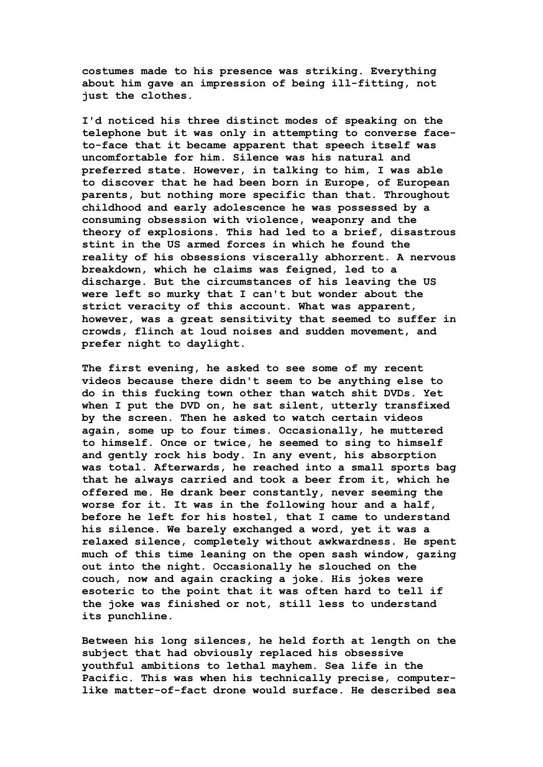**costumes made to his presence was striking. Everything about him gave an impression of being ill-fitting, not just the clothes.**

**I'd noticed his three distinct modes of speaking on the telephone but it was only in attempting to converse faceto-face that it became apparent that speech itself was uncomfortable for him. Silence was his natural and preferred state. However, in talking to him, I was able to discover that he had been born in Europe, of European parents, but nothing more specific than that. Throughout childhood and early adolescence he was possessed by a consuming obsession with violence, weaponry and the theory of explosions. This had led to a brief, disastrous stint in the US armed forces in which he found the reality of his obsessions viscerally abhorrent. A nervous breakdown, which he claims was feigned, led to a discharge. But the circumstances of his leaving the US were left so murky that I can't but wonder about the strict veracity of this account. What was apparent, however, was a great sensitivity that seemed to suffer in crowds, flinch at loud noises and sudden movement, and prefer night to daylight.**

**The first evening, he asked to see some of my recent videos because there didn't seem to be anything else to do in this fucking town other than watch shit DVDs. Yet when I put the DVD on, he sat silent, utterly transfixed by the screen. Then he asked to watch certain videos again, some up to four times. Occasionally, he muttered to himself. Once or twice, he seemed to sing to himself and gently rock his body. In any event, his absorption was total. Afterwards, he reached into a small sports bag that he always carried and took a beer from it, which he offered me. He drank beer constantly, never seeming the worse for it. It was in the following hour and a half, before he left for his hostel, that I came to understand his silence. We barely exchanged a word, yet it was a relaxed silence, completely without awkwardness. He spent much of this time leaning on the open sash window, gazing out into the night. Occasionally he slouched on the couch, now and again cracking a joke. His jokes were esoteric to the point that it was often hard to tell if the joke was finished or not, still less to understand its punchline.**

**Between his long silences, he held forth at length on the subject that had obviously replaced his obsessive youthful ambitions to lethal mayhem. Sea life in the Pacific. This was when his technically precise, computerlike matter-of-fact drone would surface. He described sea**